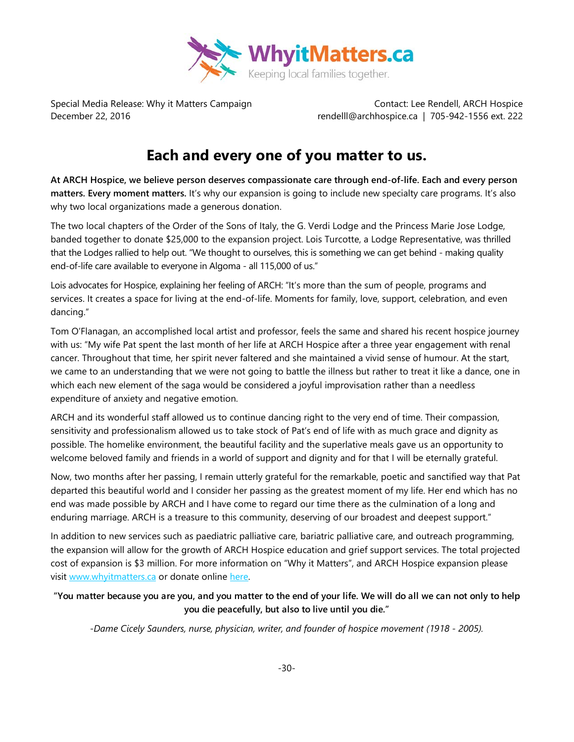

Special Media Release: Why it Matters Campaign Contact: Lee Rendell, ARCH Hospice December 22, 2016 rendelll@archhospice.ca | 705-942-1556 ext. 222

## **Each and every one of you matter to us.**

**At ARCH Hospice, we believe person deserves compassionate care through end-of-life. Each and every person matters. Every moment matters.** It's why our expansion is going to include new specialty care programs. It's also why two local organizations made a generous donation.

The two local chapters of the Order of the Sons of Italy, the G. Verdi Lodge and the Princess Marie Jose Lodge, banded together to donate \$25,000 to the expansion project. Lois Turcotte, a Lodge Representative, was thrilled that the Lodges rallied to help out. "We thought to ourselves, this is something we can get behind - making quality end-of-life care available to everyone in Algoma - all 115,000 of us."

Lois advocates for Hospice, explaining her feeling of ARCH: "It's more than the sum of people, programs and services. It creates a space for living at the end-of-life. Moments for family, love, support, celebration, and even dancing."

Tom O'Flanagan, an accomplished local artist and professor, feels the same and shared his recent hospice journey with us: "My wife Pat spent the last month of her life at ARCH Hospice after a three year engagement with renal cancer. Throughout that time, her spirit never faltered and she maintained a vivid sense of humour. At the start, we came to an understanding that we were not going to battle the illness but rather to treat it like a dance, one in which each new element of the saga would be considered a joyful improvisation rather than a needless expenditure of anxiety and negative emotion.

ARCH and its wonderful staff allowed us to continue dancing right to the very end of time. Their compassion, sensitivity and professionalism allowed us to take stock of Pat's end of life with as much grace and dignity as possible. The homelike environment, the beautiful facility and the superlative meals gave us an opportunity to welcome beloved family and friends in a world of support and dignity and for that I will be eternally grateful.

Now, two months after her passing, I remain utterly grateful for the remarkable, poetic and sanctified way that Pat departed this beautiful world and I consider her passing as the greatest moment of my life. Her end which has no end was made possible by ARCH and I have come to regard our time there as the culmination of a long and enduring marriage. ARCH is a treasure to this community, deserving of our broadest and deepest support."

In addition to new services such as paediatric palliative care, bariatric palliative care, and outreach programming, the expansion will allow for the growth of ARCH Hospice education and grief support services. The total projected cost of expansion is \$3 million. For more information on "Why it Matters", and ARCH Hospice expansion please visit [www.whyitmatters.ca](http://www.whyitmatters.ca/) or donate online [here.](https://www.canadahelps.org/dn/28940)

## **"You matter because you are you, and you matter to the end of your life. We will do all we can not only to help you die peacefully, but also to live until you die."**

*-Dame Cicely Saunders, nurse, physician, writer, and founder of hospice movement (1918 - 2005).*